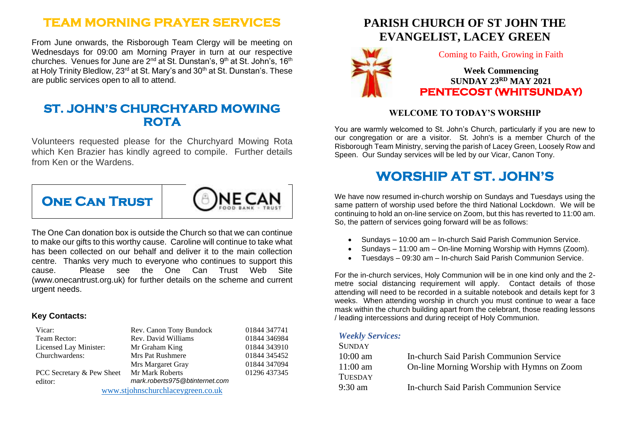# **TEAM MORNING PRAYER SERVICES**

From June onwards, the Risborough Team Clergy will be meeting on Wednesdays for 09:00 am Morning Prayer in turn at our respective churches. Venues for June are 2<sup>nd</sup> at St. Dunstan's, 9<sup>th</sup> at St. John's, 16<sup>th</sup> at Holy Trinity Bledlow, 23<sup>rd</sup> at St. Mary's and 30<sup>th</sup> at St. Dunstan's. These are public services open to all to attend.

### **ST. JOHN'S CHURCHYARD MOWING ROTA**

Volunteers requested please for the Churchyard Mowing Rota which Ken Brazier has kindly agreed to compile. Further details from Ken or the Wardens.



The One Can donation box is outside the Church so that we can continue to make our gifts to this worthy cause. Caroline will continue to take what has been collected on our behalf and deliver it to the main collection centre. Thanks very much to everyone who continues to support this cause. Please see the One Can Trust Web Site (www.onecantrust.org.uk) for further details on the scheme and current urgent needs.

#### **Key Contacts:**

| Vicar:                            | Rev. Canon Tony Bundock        | 01844 347741 |
|-----------------------------------|--------------------------------|--------------|
| Team Rector:                      | Rev. David Williams            | 01844 346984 |
| Licensed Lay Minister:            | Mr Graham King                 | 01844 343910 |
| Churchwardens:                    | <b>Mrs Pat Rushmere</b>        | 01844 345452 |
|                                   | Mrs Margaret Gray              | 01844 347094 |
| PCC Secretary & Pew Sheet         | Mr Mark Roberts                | 01296 437345 |
| editor:                           | mark.roberts975@btinternet.com |              |
| www.stjohnschurchlaceygreen.co.uk |                                |              |

# **PARISH CHURCH OF ST JOHN THE EVANGELIST, LACEY GREEN**



Coming to Faith, Growing in Faith

**Week Commencing SUNDAY 23RD MAY 2021 PENTECOST (WHITSUNDAY)** 

### **WELCOME TO TODAY'S WORSHIP**

You are warmly welcomed to St. John's Church, particularly if you are new to our congregation or are a visitor. St. John's is a member Church of the Risborough Team Ministry, serving the parish of Lacey Green, Loosely Row and Speen. Our Sunday services will be led by our Vicar, Canon Tony.

# **WORSHIP AT ST. JOHN'S**

We have now resumed in-church worship on Sundays and Tuesdays using the same pattern of worship used before the third National Lockdown. We will be continuing to hold an on-line service on Zoom, but this has reverted to 11:00 am. So, the pattern of services going forward will be as follows:

- Sundays 10:00 am In-church Said Parish Communion Service.
- Sundays 11:00 am On-line Morning Worship with Hymns (Zoom).
- Tuesdays 09:30 am In-church Said Parish Communion Service.

For the in-church services, Holy Communion will be in one kind only and the 2 metre social distancing requirement will apply. Contact details of those attending will need to be recorded in a suitable notebook and details kept for 3 weeks. When attending worship in church you must continue to wear a face mask within the church building apart from the celebrant, those reading lessons / leading intercessions and during receipt of Holy Communion.

#### *Weekly Services:*

| <b>SUNDAY</b>     |                                                |
|-------------------|------------------------------------------------|
| $10:00$ am        | <b>In-church Said Parish Communion Service</b> |
| $11:00$ am        | On-line Morning Worship with Hymns on Zoom     |
| <b>TUESDAY</b>    |                                                |
| $9:30 \text{ am}$ | <b>In-church Said Parish Communion Service</b> |